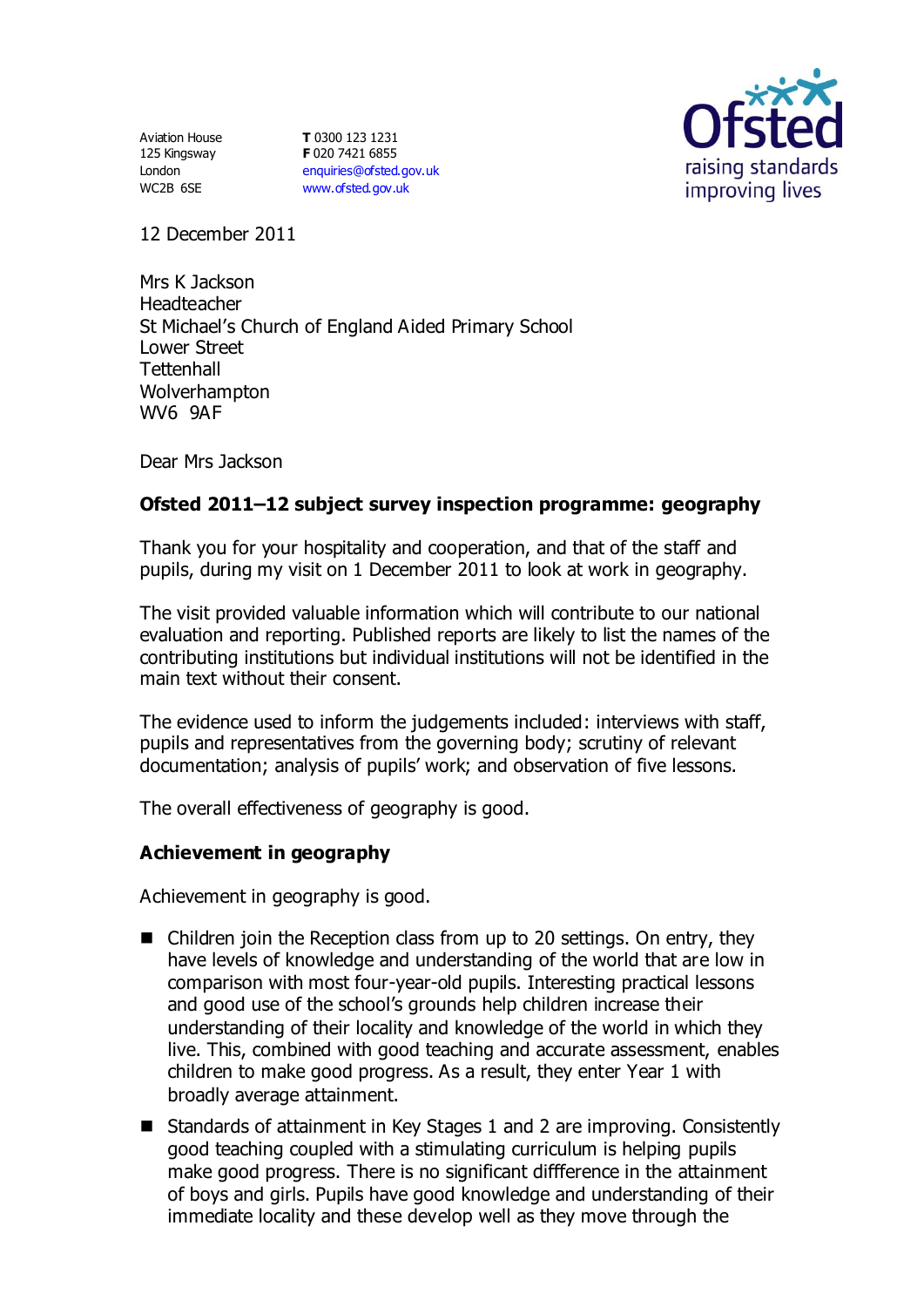Aviation House 125 Kingsway London WC2B 6SE

**T** 0300 123 1231 **F** 020 7421 6855 [enquiries@ofsted.gov.uk](mailto:enquiries@ofsted.gov.uk) [www.ofsted.gov.uk](http://www.ofsted.gov.uk/)



12 December 2011

Mrs K Jackson Headteacher St Michael's Church of England Aided Primary School Lower Street **Tettenhall** Wolverhampton WV6 9AF

Dear Mrs Jackson

# **Ofsted 2011–12 subject survey inspection programme: geography**

Thank you for your hospitality and cooperation, and that of the staff and pupils, during my visit on 1 December 2011 to look at work in geography.

The visit provided valuable information which will contribute to our national evaluation and reporting. Published reports are likely to list the names of the contributing institutions but individual institutions will not be identified in the main text without their consent.

The evidence used to inform the judgements included: interviews with staff, pupils and representatives from the governing body; scrutiny of relevant documentation; analysis of pupils' work; and observation of five lessons.

The overall effectiveness of geography is good.

## **Achievement in geography**

Achievement in geography is good.

- $\blacksquare$  Children join the Reception class from up to 20 settings. On entry, they have levels of knowledge and understanding of the world that are low in comparison with most four-year-old pupils. Interesting practical lessons and good use of the school's grounds help children increase their understanding of their locality and knowledge of the world in which they live. This, combined with good teaching and accurate assessment, enables children to make good progress. As a result, they enter Year 1 with broadly average attainment.
- Standards of attainment in Key Stages 1 and 2 are improving. Consistently good teaching coupled with a stimulating curriculum is helping pupils make good progress. There is no significant diffference in the attainment of boys and girls. Pupils have good knowledge and understanding of their immediate locality and these develop well as they move through the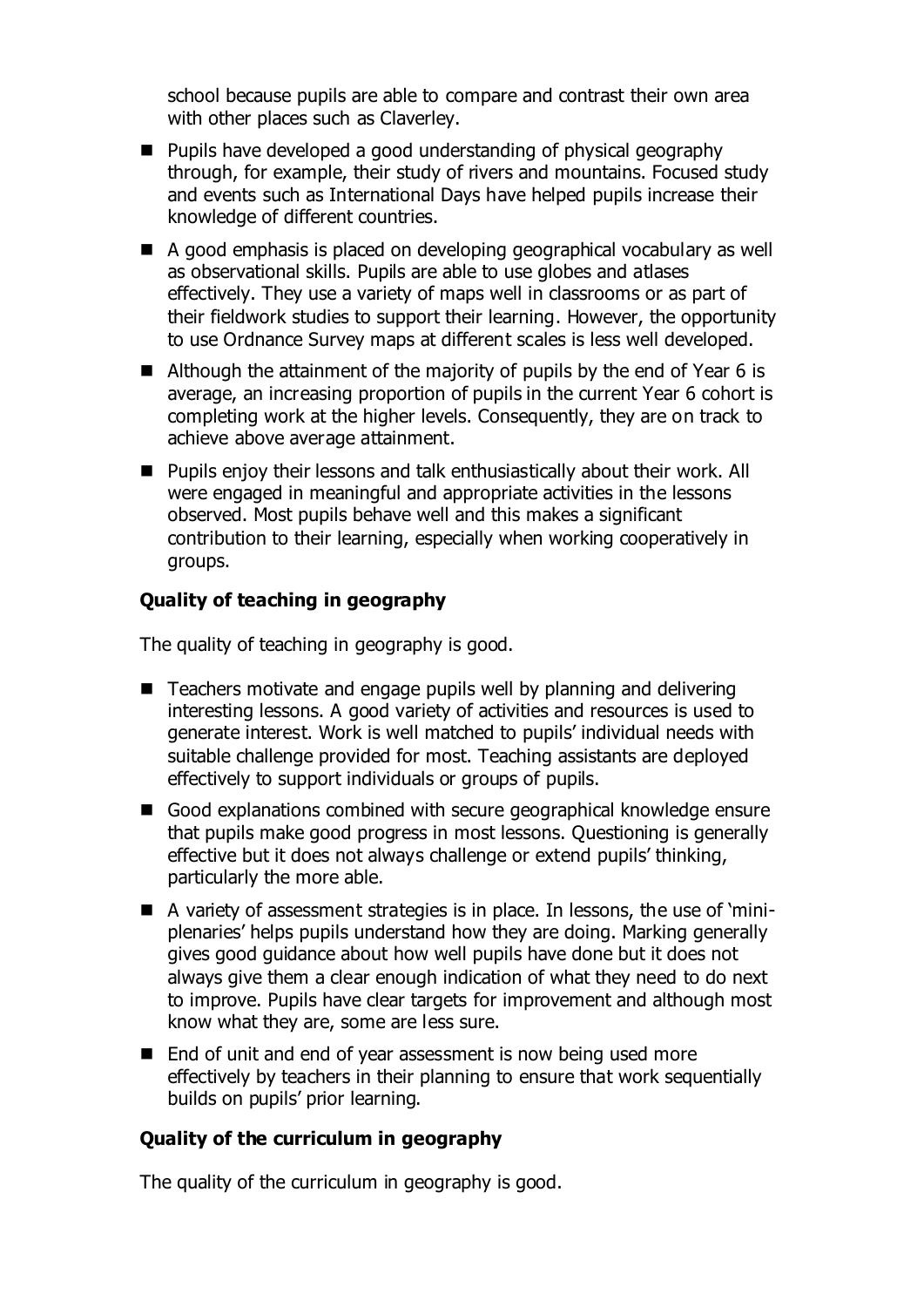school because pupils are able to compare and contrast their own area with other places such as Claverley.

- **Pupils have developed a good understanding of physical geography** through, for example, their study of rivers and mountains. Focused study and events such as International Days have helped pupils increase their knowledge of different countries.
- A good emphasis is placed on developing geographical vocabulary as well as observational skills. Pupils are able to use globes and atlases effectively. They use a variety of maps well in classrooms or as part of their fieldwork studies to support their learning. However, the opportunity to use Ordnance Survey maps at different scales is less well developed.
- Although the attainment of the majority of pupils by the end of Year 6 is average, an increasing proportion of pupils in the current Year 6 cohort is completing work at the higher levels. Consequently, they are on track to achieve above average attainment.
- **Pupils enjoy their lessons and talk enthusiastically about their work. All** were engaged in meaningful and appropriate activities in the lessons observed. Most pupils behave well and this makes a significant contribution to their learning, especially when working cooperatively in groups.

## **Quality of teaching in geography**

The quality of teaching in geography is good.

- Teachers motivate and engage pupils well by planning and delivering interesting lessons. A good variety of activities and resources is used to generate interest. Work is well matched to pupils' individual needs with suitable challenge provided for most. Teaching assistants are deployed effectively to support individuals or groups of pupils.
- Good explanations combined with secure geographical knowledge ensure that pupils make good progress in most lessons. Questioning is generally effective but it does not always challenge or extend pupils' thinking, particularly the more able.
- A variety of assessment strategies is in place. In lessons, the use of 'miniplenaries' helps pupils understand how they are doing. Marking generally gives good guidance about how well pupils have done but it does not always give them a clear enough indication of what they need to do next to improve. Pupils have clear targets for improvement and although most know what they are, some are less sure.
- End of unit and end of year assessment is now being used more effectively by teachers in their planning to ensure that work sequentially builds on pupils' prior learning.

### **Quality of the curriculum in geography**

The quality of the curriculum in geography is good.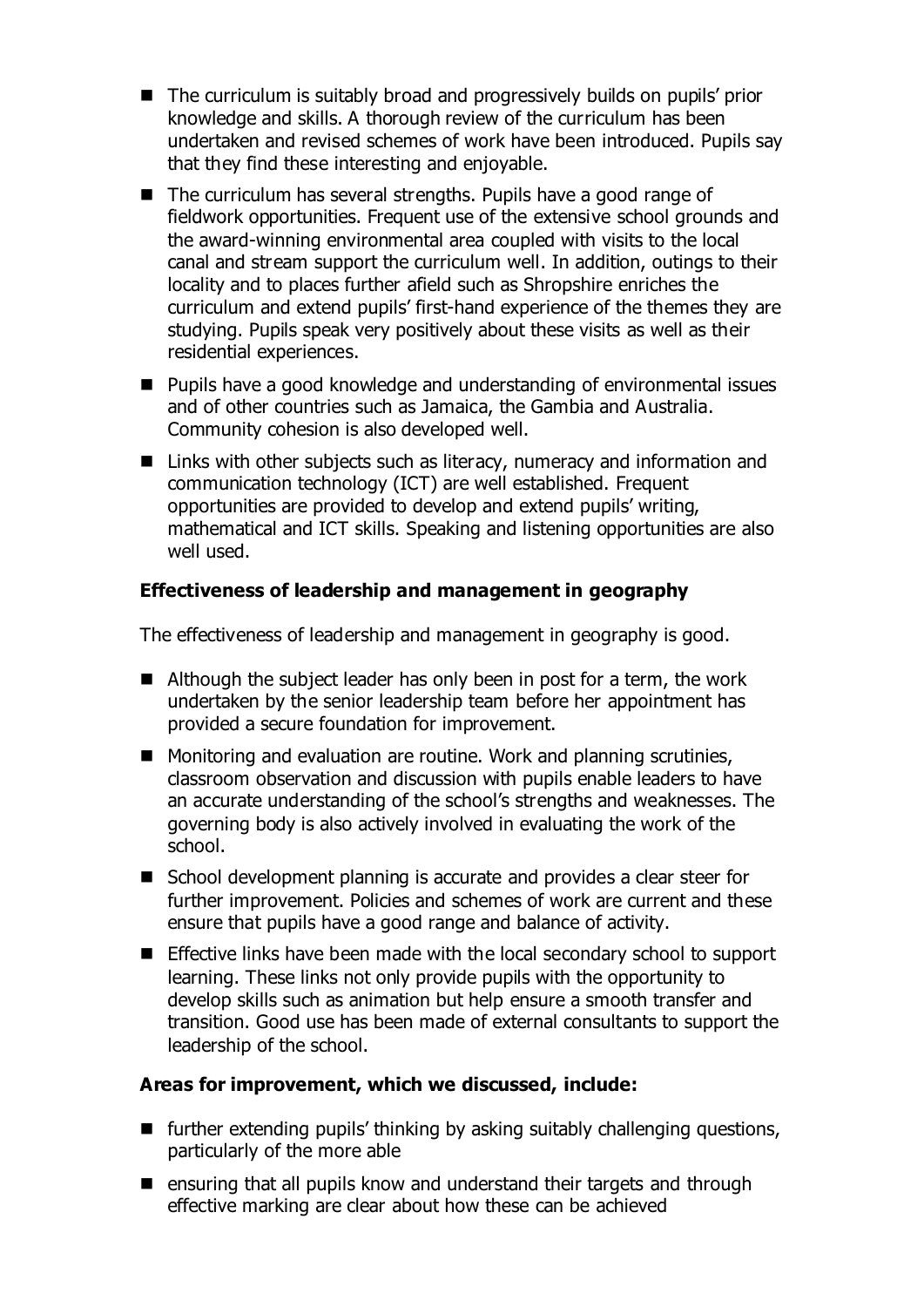- The curriculum is suitably broad and progressively builds on pupils' prior knowledge and skills. A thorough review of the curriculum has been undertaken and revised schemes of work have been introduced. Pupils say that they find these interesting and enjoyable.
- The curriculum has several strengths. Pupils have a good range of fieldwork opportunities. Frequent use of the extensive school grounds and the award-winning environmental area coupled with visits to the local canal and stream support the curriculum well. In addition, outings to their locality and to places further afield such as Shropshire enriches the curriculum and extend pupils' first-hand experience of the themes they are studying. Pupils speak very positively about these visits as well as their residential experiences.
- Pupils have a good knowledge and understanding of environmental issues and of other countries such as Jamaica, the Gambia and Australia. Community cohesion is also developed well.
- Links with other subjects such as literacy, numeracy and information and communication technology (ICT) are well established. Frequent opportunities are provided to develop and extend pupils' writing, mathematical and ICT skills. Speaking and listening opportunities are also well used.

# **Effectiveness of leadership and management in geography**

The effectiveness of leadership and management in geography is good.

- Although the subject leader has only been in post for a term, the work undertaken by the senior leadership team before her appointment has provided a secure foundation for improvement.
- Monitoring and evaluation are routine. Work and planning scrutinies, classroom observation and discussion with pupils enable leaders to have an accurate understanding of the school's strengths and weaknesses. The governing body is also actively involved in evaluating the work of the school.
- School development planning is accurate and provides a clear steer for further improvement. Policies and schemes of work are current and these ensure that pupils have a good range and balance of activity.
- Effective links have been made with the local secondary school to support learning. These links not only provide pupils with the opportunity to develop skills such as animation but help ensure a smooth transfer and transition. Good use has been made of external consultants to support the leadership of the school.

## **Areas for improvement, which we discussed, include:**

- further extending pupils' thinking by asking suitably challenging questions, particularly of the more able
- $\blacksquare$  ensuring that all pupils know and understand their targets and through effective marking are clear about how these can be achieved